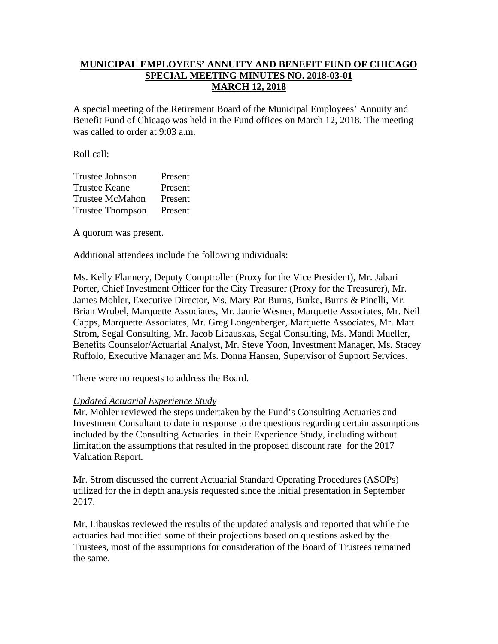## **MUNICIPAL EMPLOYEES' ANNUITY AND BENEFIT FUND OF CHICAGO SPECIAL MEETING MINUTES NO. 2018-03-01 MARCH 12, 2018**

A special meeting of the Retirement Board of the Municipal Employees' Annuity and Benefit Fund of Chicago was held in the Fund offices on March 12, 2018. The meeting was called to order at 9:03 a.m.

Roll call:

| <b>Trustee Johnson</b>  | Present |
|-------------------------|---------|
| <b>Trustee Keane</b>    | Present |
| <b>Trustee McMahon</b>  | Present |
| <b>Trustee Thompson</b> | Present |

A quorum was present.

Additional attendees include the following individuals:

Ms. Kelly Flannery, Deputy Comptroller (Proxy for the Vice President), Mr. Jabari Porter, Chief Investment Officer for the City Treasurer (Proxy for the Treasurer), Mr. James Mohler, Executive Director, Ms. Mary Pat Burns, Burke, Burns & Pinelli, Mr. Brian Wrubel, Marquette Associates, Mr. Jamie Wesner, Marquette Associates, Mr. Neil Capps, Marquette Associates, Mr. Greg Longenberger, Marquette Associates, Mr. Matt Strom, Segal Consulting, Mr. Jacob Libauskas, Segal Consulting, Ms. Mandi Mueller, Benefits Counselor/Actuarial Analyst, Mr. Steve Yoon, Investment Manager, Ms. Stacey Ruffolo, Executive Manager and Ms. Donna Hansen, Supervisor of Support Services.

There were no requests to address the Board.

## *Updated Actuarial Experience Study*

Mr. Mohler reviewed the steps undertaken by the Fund's Consulting Actuaries and Investment Consultant to date in response to the questions regarding certain assumptions included by the Consulting Actuaries in their Experience Study, including without limitation the assumptions that resulted in the proposed discount rate for the 2017 Valuation Report.

Mr. Strom discussed the current Actuarial Standard Operating Procedures (ASOPs) utilized for the in depth analysis requested since the initial presentation in September 2017.

Mr. Libauskas reviewed the results of the updated analysis and reported that while the actuaries had modified some of their projections based on questions asked by the Trustees, most of the assumptions for consideration of the Board of Trustees remained the same.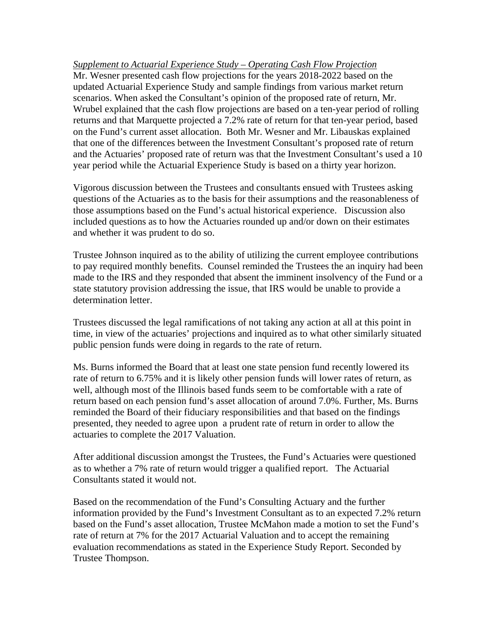*Supplement to Actuarial Experience Study – Operating Cash Flow Projection*  Mr. Wesner presented cash flow projections for the years 2018-2022 based on the updated Actuarial Experience Study and sample findings from various market return scenarios. When asked the Consultant's opinion of the proposed rate of return, Mr. Wrubel explained that the cash flow projections are based on a ten-year period of rolling returns and that Marquette projected a 7.2% rate of return for that ten-year period, based on the Fund's current asset allocation. Both Mr. Wesner and Mr. Libauskas explained that one of the differences between the Investment Consultant's proposed rate of return and the Actuaries' proposed rate of return was that the Investment Consultant's used a 10 year period while the Actuarial Experience Study is based on a thirty year horizon.

Vigorous discussion between the Trustees and consultants ensued with Trustees asking questions of the Actuaries as to the basis for their assumptions and the reasonableness of those assumptions based on the Fund's actual historical experience. Discussion also included questions as to how the Actuaries rounded up and/or down on their estimates and whether it was prudent to do so.

Trustee Johnson inquired as to the ability of utilizing the current employee contributions to pay required monthly benefits. Counsel reminded the Trustees the an inquiry had been made to the IRS and they responded that absent the imminent insolvency of the Fund or a state statutory provision addressing the issue, that IRS would be unable to provide a determination letter.

Trustees discussed the legal ramifications of not taking any action at all at this point in time, in view of the actuaries' projections and inquired as to what other similarly situated public pension funds were doing in regards to the rate of return.

Ms. Burns informed the Board that at least one state pension fund recently lowered its rate of return to 6.75% and it is likely other pension funds will lower rates of return, as well, although most of the Illinois based funds seem to be comfortable with a rate of return based on each pension fund's asset allocation of around 7.0%. Further, Ms. Burns reminded the Board of their fiduciary responsibilities and that based on the findings presented, they needed to agree upon a prudent rate of return in order to allow the actuaries to complete the 2017 Valuation.

After additional discussion amongst the Trustees, the Fund's Actuaries were questioned as to whether a 7% rate of return would trigger a qualified report. The Actuarial Consultants stated it would not.

Based on the recommendation of the Fund's Consulting Actuary and the further information provided by the Fund's Investment Consultant as to an expected 7.2% return based on the Fund's asset allocation, Trustee McMahon made a motion to set the Fund's rate of return at 7% for the 2017 Actuarial Valuation and to accept the remaining evaluation recommendations as stated in the Experience Study Report. Seconded by Trustee Thompson.